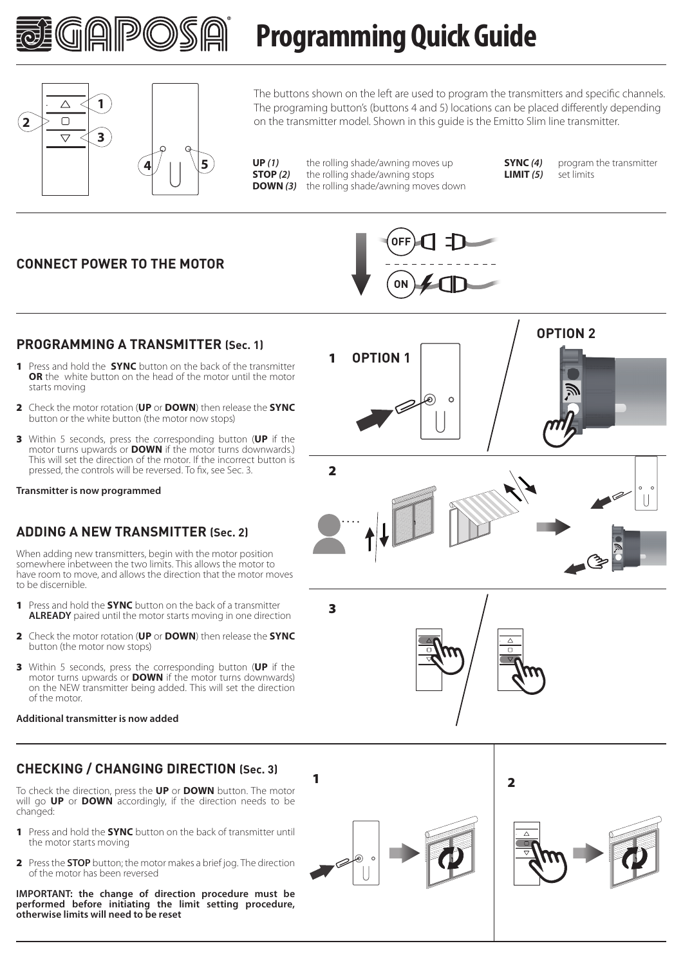

### $\wedge$ **1**  $\Box$ **2 3**  $\overline{\nabla}$ **4**  $\left| \begin{array}{c} \end{array} \right|$   $\left| \begin{array}{c} \end{array} \right|$

The buttons shown on the left are used to program the transmitters and specific channels. The programing button's (buttons 4 and 5) locations can be placed differently depending on the transmitter model. Shown in this guide is the Emitto Slim line transmitter.

**UP** (1) the rolling shade/awning moves up<br>**STOP** (2) the rolling shade/awning stops **STOP** (2) the rolling shade/awning stops<br>**DOWN (3)** the rolling shade/awning move the rolling shade/awning moves down

**Programming Quick Guide**

 $LIMIT(5)$ 

**SYNC (4)** program the transmitter<br>**LIMIT (5)** set limits

### **CONNECT POWER TO THE MOTOR**



### **PROGRAMMING A TRANSMITTER (Sec. 1)**

- 1 Press and hold the **SYNC** button on the back of the transmitter **OR** the white button on the head of the motor until the motor starts moving
- 2 Check the motor rotation (**UP** or **DOWN**) then release the **SYNC** button or the white button (the motor now stops)
- 3 Within 5 seconds, press the corresponding button (**UP** if the motor turns upwards or **DOWN** if the motor turns downwards.) This will set the direction of the motor. If the incorrect button is pressed, the controls will be reversed. To fix, see Sec. 3.

**Transmitter is now programmed**

### **ADDING A NEW TRANSMITTER (Sec. 2)**

When adding new transmitters, begin with the motor position somewhere inbetween the two limits. This allows the motor to have room to move, and allows the direction that the motor moves to be discernible.

- 1 Press and hold the **SYNC** button on the back of a transmitter **ALREADY** paired until the motor starts moving in one direction
- 2 Check the motor rotation (**UP** or **DOWN**) then release the **SYNC** button (the motor now stops)
- 3 Within 5 seconds, press the corresponding button (**UP** if the motor turns upwards or **DOWN** if the motor turns downwards) on the NEW transmitter being added. This will set the direction of the motor.

#### **Additional transmitter is now added**

### **CHECKING / CHANGING DIRECTION (Sec. 3)**

To check the direction, press the **UP** or **DOWN** button. The motor will go **UP** or **DOWN** accordingly, if the direction needs to be changed:

- 1 Press and hold the **SYNC** button on the back of transmitter until the motor starts moving
- 2 Press the **STOP** button; the motor makes a brief jog. The direction of the motor has been reversed

**IMPORTANT: the change of direction procedure must be performed before initiating the limit setting procedure, otherwise limits will need to be reset**



⋒



 $\overline{\mathbf{1}}$  2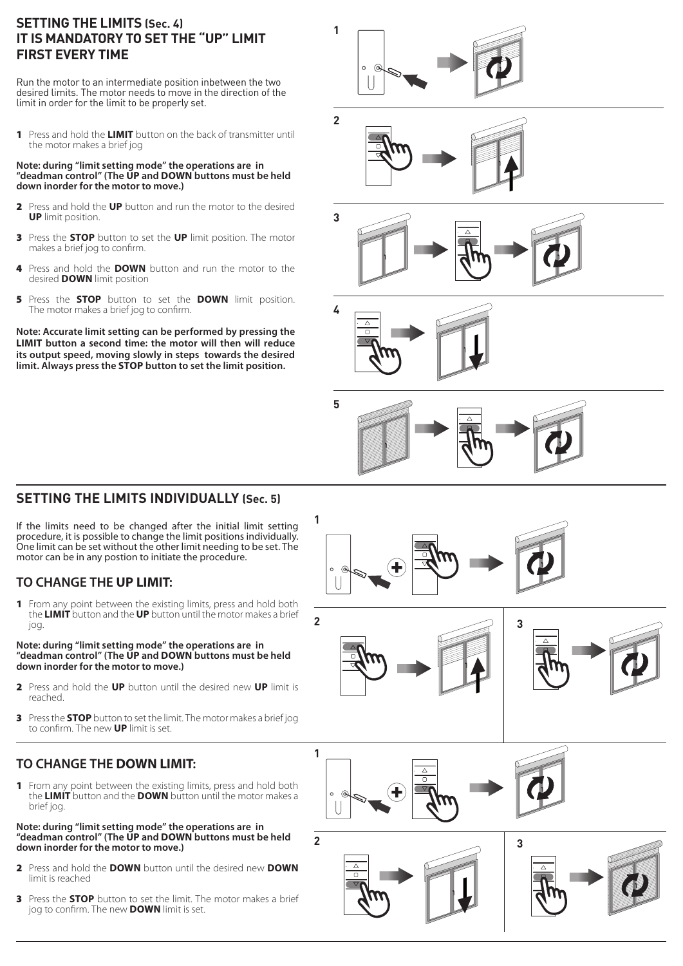### **SETTING THE LIMITS (Sec. 4) IT IS MANDATORY TO SET THE "UP" LIMIT FIRST EVERY TIME**

Run the motor to an intermediate position inbetween the two desired limits. The motor needs to move in the direction of the limit in order for the limit to be properly set.

1 Press and hold the **LIMIT** button on the back of transmitter until the motor makes a brief jog

#### **Note: during "limit setting mode" the operations are in "deadman control" (The UP and DOWN buttons must be held down inorder for the motor to move.)**

- 2 Press and hold the **UP** button and run the motor to the desired **UP** limit position.
- 3 Press the **STOP** button to set the **UP** limit position. The motor makes a brief jog to confirm.
- 4 Press and hold the **DOWN** button and run the motor to the desired **DOWN** limit position
- 5 Press the **STOP** button to set the **DOWN** limit position. The motor makes a brief jog to confirm.

**Note: Accurate limit setting can be performed by pressing the LIMIT button a second time: the motor will then will reduce its output speed, moving slowly in steps towards the desired limit. Always press the STOP button to set the limit position.**

# **SETTING THE LIMITS INDIVIDUALLY (Sec. 5)**

If the limits need to be changed after the initial limit setting procedure, it is possible to change the limit positions individually. One limit can be set without the other limit needing to be set. The motor can be in any postion to initiate the procedure.

# **TO CHANGE THE UP LIMIT:**

**1** From any point between the existing limits, press and hold both the **LIMIT** button and the **UP** button until the motor makes a brief jog.

#### **Note: during "limit setting mode" the operations are in "deadman control" (The UP and DOWN buttons must be held down inorder for the motor to move.)**

- 2 Press and hold the **UP** button until the desired new **UP** limit is reached.
- 3 Press the **STOP** button to set the limit. The motor makes a brief jog to confirm. The new **UP** limit is set.

# **TO CHANGE THE DOWN LIMIT:**

1 From any point between the existing limits, press and hold both the **LIMIT** button and the **DOWN** button until the motor makes a brief jog.

#### **Note: during "limit setting mode" the operations are in "deadman control" (The UP and DOWN buttons must be held down inorder for the motor to move.)**

- 2 Press and hold the **DOWN** button until the desired new **DOWN** limit is reached
- 3 Press the **STOP** button to set the limit. The motor makes a brief jog to confirm. The new **DOWN** limit is set.









**5**

**1**

**2**

**1**

 $\circ$ 

**2**









**3**